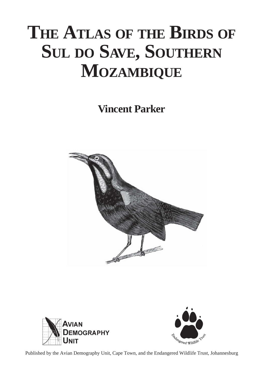# **THE ATLAS OF THE BIRDS OF SUL DO SAVE, SOUTHERN MOZAMBIQUE**

## **Vincent Parker**







Published by the Avian Demography Unit, Cape Town, and the Endangered Wildlife Trust, Johannesburg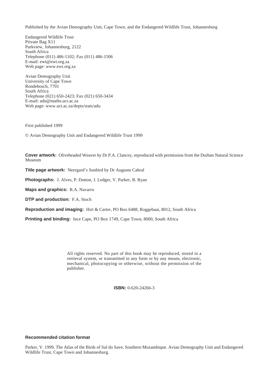Published by the Avian Demography Unit, Cape Town, and the Endangered Wildlife Trust, Johannesburg

Endangered Wildlife Trust Private Bag X11 Parkview, Johannesburg, 2122 South Africa Telephone (011) 486-1102; Fax (011) 486-1506 E-mail: ewt@ewt.org.za Web page: www.ewt.org.za

Avian Demography Unit University of Cape Town Rondebosch, 7701 South Africa Telephone (021) 650-2423; Fax (021) 650-3434 E-mail: adu@maths.uct.ac.za Web page: www.uct.ac.za/depts/stats/adu

First published 1999

© Avian Demography Unit and Endangered Wildlife Trust 1999

**Cover artwork:** Oliveheaded Weaver by Dr P.A. Clancey, reproduced with permission from the Durban Natural Science Museum

**Title page artwork:** Neergard's Sunbird by Dr Augusto Cabral

**Photographs:** J. Alves, P. Dutton, J. Ledger, V. Parker, B. Ryan

**Maps and graphics:** R.A. Navarro

**DTP and production:** F.A. Stoch

**Reproduction and imaging:** Hirt & Carter, PO Box 6488, Roggebaai, 8012, South Africa

**Printing and binding:** Ince Cape, PO Box 1749, Cape Town, 8000, South Africa

All rights reserved. No part of this book may be reproduced, stored in a retrieval system, or transmitted in any form or by any means, electronic, mechanical, photocopying or otherwise, without the permission of the publisher.

**ISBN:** 0-620-24266-3

#### **Recommended citation format**

Parker, V. 1999. The Atlas of the Birds of Sul do Save, Southern Mozambique. Avian Demography Unit and Endangered Wildlife Trust, Cape Town and Johannesburg.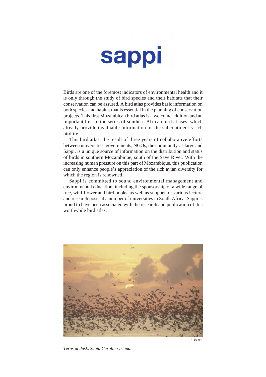# **sappi**

Birds are one of the foremost indicators of environmental health and it is only through the study of bird species and their habitats that their conservation can be assured. A bird atlas provides basic information on both species and habitat that is essential in the planning of conservation projects. This first Mozambican bird atlas is a welcome addition and an important link to the series of southern African bird atlases, which already provide invaluable information on the subcontinent's rich birdlife.

This bird atlas, the result of three years of collaborative efforts between universities, governments, NGOs, the community-at-large and Sappi, is a unique source of information on the distribution and status of birds in southern Mozambique, south of the Save River. With the increasing human pressure on this part of Mozambique, this publication can only enhance people's appreciation of the rich avian diversity for which the region is renowned.

Sappi is committed to sound environmental management and environmental education, including the sponsorship of a wide range of tree, wild-flower and bird books, as well as support for various lecture and research posts at a number of universities in South Africa. Sappi is proud to have been associated with the research and publication of this worthwhile bird atlas.



*Terns at dusk, Santa Carolina Island.*

P. Dutton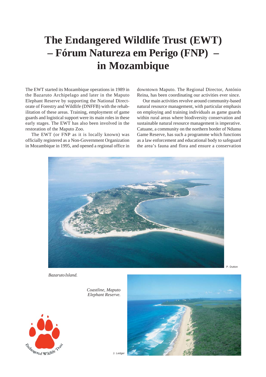## **The Endangered Wildlife Trust (EWT) – Fórum Natureza em Perigo (FNP) – in Mozambique**

The EWT started its Mozambique operations in 1989 in the Bazaruto Archipelago and later in the Maputo Elephant Reserve by supporting the National Directorate of Forestry and Wildlife (DNFFB) with the rehabilitation of these areas. Training, employment of game guards and logistical support were its main roles in these early stages. The EWT has also been involved in the restoration of the Maputo Zoo.

The EWT (or FNP as it is locally known) was officially registered as a Non-Government Organization in Mozambique in 1995, and opened a regional office in downtown Maputo. The Regional Director, António Reina, has been coordinating our activities ever since.

Our main activities revolve around community-based natural resource management, with particular emphasis on employing and training individuals as game guards within rural areas where biodiversity conservation and sustainable natural resource management is imperative. Catuane, a community on the northern border of Ndumu Game Reserve, has such a programme which functions as a law enforcement and educational body to safeguard the area's fauna and flora and ensure a conservation



P. Dutton

*Bazaruto Island.*

*Coastline, Maputo Elephant Reserve.*





J. Ledger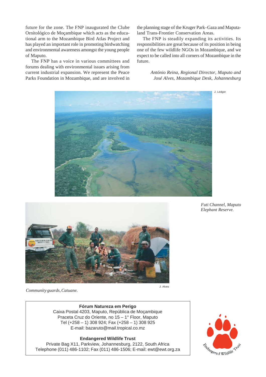future for the zone. The FNP inaugurated the Clube Ornitológico de Moçambique which acts as the educational arm to the Mozambique Bird Atlas Project and has played an important role in promoting birdwatching and environmental awareness amongst the young people of Maputo.

The FNP has a voice in various committees and forums dealing with environmental issues arising from current industrial expansion. We represent the Peace Parks Foundation in Mozambique, and are involved in the planning stage of the Kruger Park–Gaza and Maputaland Trans-Frontier Conservation Areas.

The FNP is steadily expanding its activities. Its responsibilities are great because of its position in being one of the few wildlife NGOs in Mozambique, and we expect to be called into all corners of Mozambique in the future.

> *António Reina, Regional Director, Maputo and José Alves, Mozambique Desk, Johannesburg*







*Futi Channel, Maputo Elephant Reserve.*

*Community guards, Catuane.*

**Fórum Natureza em Perigo** Caixa Postal 4203, Maputo, República de Moçambique Praceta Cruz do Oriente, no 15 – 1° Floor, Maputo Tel (+258 – 1) 308 924; Fax (+258 – 1) 308 925 E-mail: bazaruto@mail.tropical.co.mz

**Endangered Wildlife Trust** Private Bag X11, Parkview, Johannesburg, 2122, South Africa Telephone (011) 486-1102; Fax (011) 486-1506; E-mail: ewt@ewt.org.za

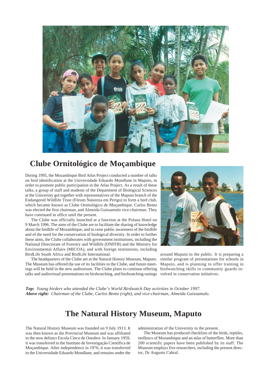

#### **Clube Ornitológico de Moçambique**

During 1995, the Mozambique Bird Atlas Project conducted a number of talks on bird identification at the Universidade Eduardo Mondlane in Maputo, in order to promote public participation in the Atlas Project. As a result of these talks, a group of staff and students of the Department of Biological Sciences at the University got together with representatives of the Maputo branch of the Endangered Wildlife Trust (Fórum Natureza em Perigo) to form a bird club, which became known as Clube Ornitológico de Moçambique. Carlos Bento was elected the first chairman, and Almeida Guissamulo vice-chairman. They have continued in office until the present.

The Clube was officially launched at a function at the Polana Hotel on 9 March 1996. The aims of the Clube are to facilitate the sharing of knowledge about the birdlife of Mozambique, and to raise public awareness of the birdlife and of the need for the conservation of biological diversity. In order to further these aims, the Clube collaborates with government institutions, including the National Directorate of Forestry and Wildlife (DNFFB) and the Ministry for Environmental Affairs (MICOA), and with foreign institutions, including BirdLife South Africa and BirdLife International.

The headquarters of the Clube are at the Natural History Museum, Maputo. The Museum has offered the use of its facilities to the Clube, and future meetings will be held in the new auditorium. The Clube plans to continue offering talks and audiovisual presentations on birdwatching, and birdwatching outings



around Maputo to the public. It is preparing a similar program of presentations for schools in Maputo, and is planning to offer training in birdwatching skills to community guards involved in conservation initiatives.

*Top: Young birders who attended the Clube's World Birdwatch Day activities in October 1997. Above right: Chairman of the Clube, Carlos Bento (right), and vice-chairman, Almeida Guissamulo.*

#### **The Natural History Museum, Maputo**

The Natural History Museum was founded on 9 July 1913. It was then known as the Provincial Museum and was affiliated to the now defunct Escola Cinco de Outubro. In January 1959, it was transferred to the Instituto de Investigação Científica de Moçambique. After independence in 1976, it was transferred to the Universidade Eduardo Mondlane, and remains under the administration of the University to the present.

The Museum has produced checklists of the birds, reptiles, molluscs of Mozambique and an atlas of butterflies. More than 200 scientific papers have been published by its staff. The Museum employs five researchers, including the present director, Dr Augusto Cabral.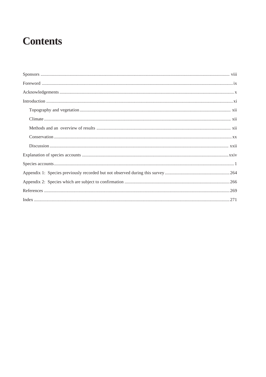# **Contents**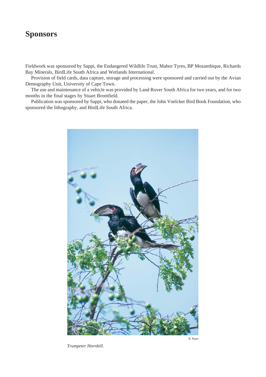#### **Sponsors**

Fieldwork was sponsored by Sappi, the Endangered Wildlife Trust, Mabor Tyres, BP Mozambique, Richards Bay Minerals, BirdLife South Africa and Wetlands International.

Provision of field cards, data capture, storage and processing were sponsored and carried out by the Avian Demography Unit, University of Cape Town.

The use and maintenance of a vehicle was provided by Land Rover South Africa for two years, and for two months in the final stages by Stuart Bromfield.

Publication was sponsored by Sappi, who donated the paper, the John Voelcker Bird Book Foundation, who sponsored the lithography, and BirdLife South Africa.



*Trumpeter Hornbill.*

B. Ryan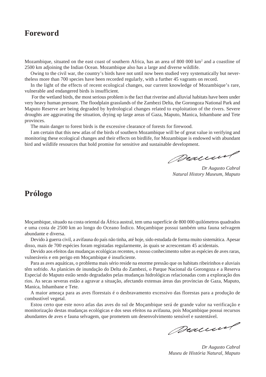#### **Foreword**

Mozambique, situated on the east coast of southern Africa, has an area of 800 000 km<sup>2</sup> and a coastline of 2500 km adjoining the Indian Ocean. Mozambique also has a large and diverse wildlife.

Owing to the civil war, the country's birds have not until now been studied very systematically but nevertheless more than 700 species have been recorded regularly, with a further 45 vagrants on record.

In the light of the effects of recent ecological changes, our current knowledge of Mozambique's rare, vulnerable and endangered birds is insufficient.

 For the wetland birds, the most serious problem is the fact that riverine and alluvial habitats have been under very heavy human pressure. The floodplain grasslands of the Zambezi Delta, the Gorongoza National Park and Maputo Reserve are being degraded by hydrological changes related to exploitation of the rivers. Severe droughts are aggravating the situation, drying up large areas of Gaza, Maputo, Manica, Inhambane and Tete provinces.

The main danger to forest birds is the excessive clearance of forests for firewood.

I am certain that this new atlas of the birds of southern Mozambique will be of great value in verifying and monitoring these ecological changes and their effects on birdlife, for Mozambique is endowed with abundant bird and wildlife resources that hold promise for sensitive and sustainable development.

Deaccourt

*Dr Augusto Cabral Natural History Museum, Maputo*

#### **Prólogo**

Moçambique, situado na costa oriental da África austral, tem uma superfície de 800 000 quilómetros quadrados e uma costa de 2500 km ao longo do Oceano Índico. Moçambique possui também uma fauna selvagem abundante e diversa.

Devido à guerra civil, a avifauna do país não tinha, até hoje, sido estudada de forma muito sistemática. Apesar disso, mais de 700 espécies foram registadas regularmente, às quais se acrescentam 45 acidentais.

Devido aos efeitos das mudanças ecológicas recentes, o nosso conhecimento sobre as espécies de aves raras, vulneráveis e em perigo em Moçambique é insuficiente.

Para as aves aquáticas, o problema mais sério reside na enorme pressão que os habitats ribeirinhos e aluviais têm sofrido. As planícies de inundação do Delta do Zambezi, o Parque Nacional da Gorongoza e a Reserva Especial do Maputo estão sendo degradados pelas mudanças hidrológicas relacionadas com a exploração dos rios. As secas severas estão a agravar a situação, afectando extensas áreas das províncias de Gaza, Maputo, Manica, Inhambane e Tete.

A maior ameaça para as aves florestais é o desbravamento excessivo das florestas para a produção de combustível vegetal.

Estou certo que este novo atlas das aves do sul de Moçambique será de grande valor na verificação e monitorização destas mudanças ecológicas e dos seus efeitos na avifauna, pois Moçambique possui recursos abundantes de aves e fauna selvagem, que prometem um desenvolvimento sensível e sustentável.

Deaccourt

*Dr Augusto Cabral Museu de História Natural, Maputo*